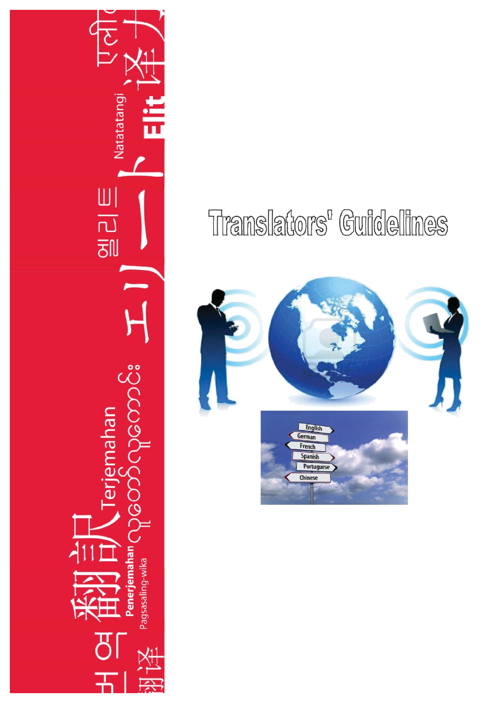## Translators' Guidelines



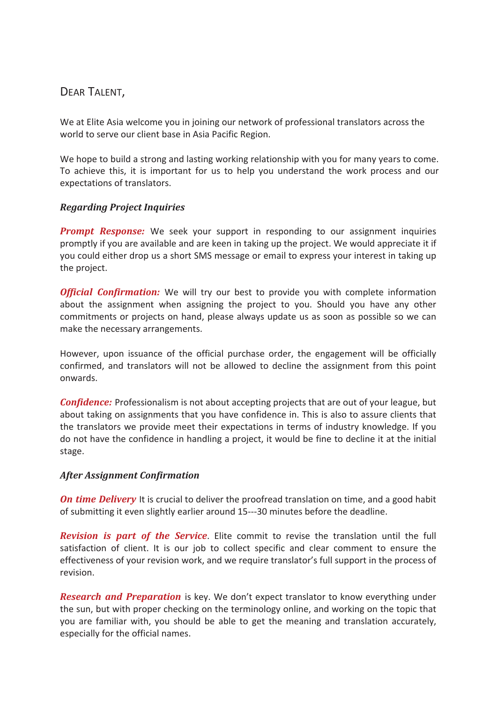DEAR TALENT,

We at Elite Asia welcome you in joining our network of professional translators across the world to serve our client base in Asia Pacific Region.

We hope to build a strong and lasting working relationship with you for many years to come. To achieve this, it is important for us to help you understand the work process and our expectations of translators.

## *Regarding Project Inquiries*

*Prompt Response:* We seek your support in responding to our assignment inquiries promptly if you are available and are keen in taking up the project. We would appreciate it if you could either drop us a short SMS message or email to express your interest in taking up the project.

*Official Confirmation:* We will try our best to provide you with complete information about the assignment when assigning the project to you. Should you have any other commitments or projects on hand, please always update us as soon as possible so we can make the necessary arrangements.

However, upon issuance of the official purchase order, the engagement will be officially confirmed, and translators will not be allowed to decline the assignment from this point onwards.

*Confidence:* Professionalism is not about accepting projects that are out of your league, but about taking on assignments that you have confidence in. This is also to assure clients that the translators we provide meet their expectations in terms of industry knowledge. If you do not have the confidence in handling a project, it would be fine to decline it at the initial stage.

## *After Assignment Confirmation*

*On time Delivery* It is crucial to deliver the proofread translation on time, and a good habit of submitting it even slightly earlier around 15---30 minutes before the deadline.

*Revision is part of the Service*. Elite commit to revise the translation until the full satisfaction of client. It is our job to collect specific and clear comment to ensure the effectiveness of your revision work, and we require translator's full support in the process of revision.

*Research and Preparation* is key. We don't expect translator to know everything under the sun, but with proper checking on the terminology online, and working on the topic that you are familiar with, you should be able to get the meaning and translation accurately, especially for the official names.